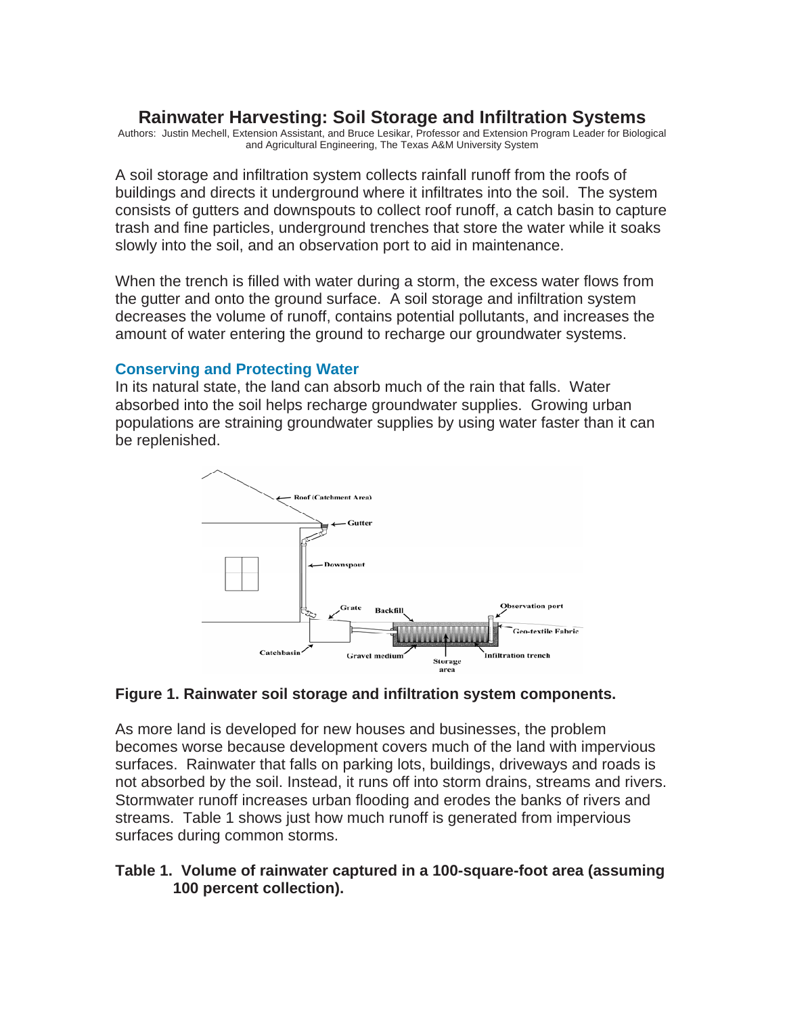# **Rainwater Harvesting: Soil Storage and Infiltration Systems**

Authors: Justin Mechell, Extension Assistant, and Bruce Lesikar, Professor and Extension Program Leader for Biological and Agricultural Engineering, The Texas A&M University System

A soil storage and infiltration system collects rainfall runoff from the roofs of buildings and directs it underground where it infiltrates into the soil. The system consists of gutters and downspouts to collect roof runoff, a catch basin to capture trash and fine particles, underground trenches that store the water while it soaks slowly into the soil, and an observation port to aid in maintenance.

When the trench is filled with water during a storm, the excess water flows from the gutter and onto the ground surface. A soil storage and infiltration system decreases the volume of runoff, contains potential pollutants, and increases the amount of water entering the ground to recharge our groundwater systems.

### **Conserving and Protecting Water**

In its natural state, the land can absorb much of the rain that falls. Water absorbed into the soil helps recharge groundwater supplies. Growing urban populations are straining groundwater supplies by using water faster than it can be replenished.



#### **Figure 1. Rainwater soil storage and infiltration system components.**

As more land is developed for new houses and businesses, the problem becomes worse because development covers much of the land with impervious surfaces. Rainwater that falls on parking lots, buildings, driveways and roads is not absorbed by the soil. Instead, it runs off into storm drains, streams and rivers. Stormwater runoff increases urban flooding and erodes the banks of rivers and streams. Table 1 shows just how much runoff is generated from impervious surfaces during common storms.

### **Table 1. Volume of rainwater captured in a 100-square-foot area (assuming 100 percent collection).**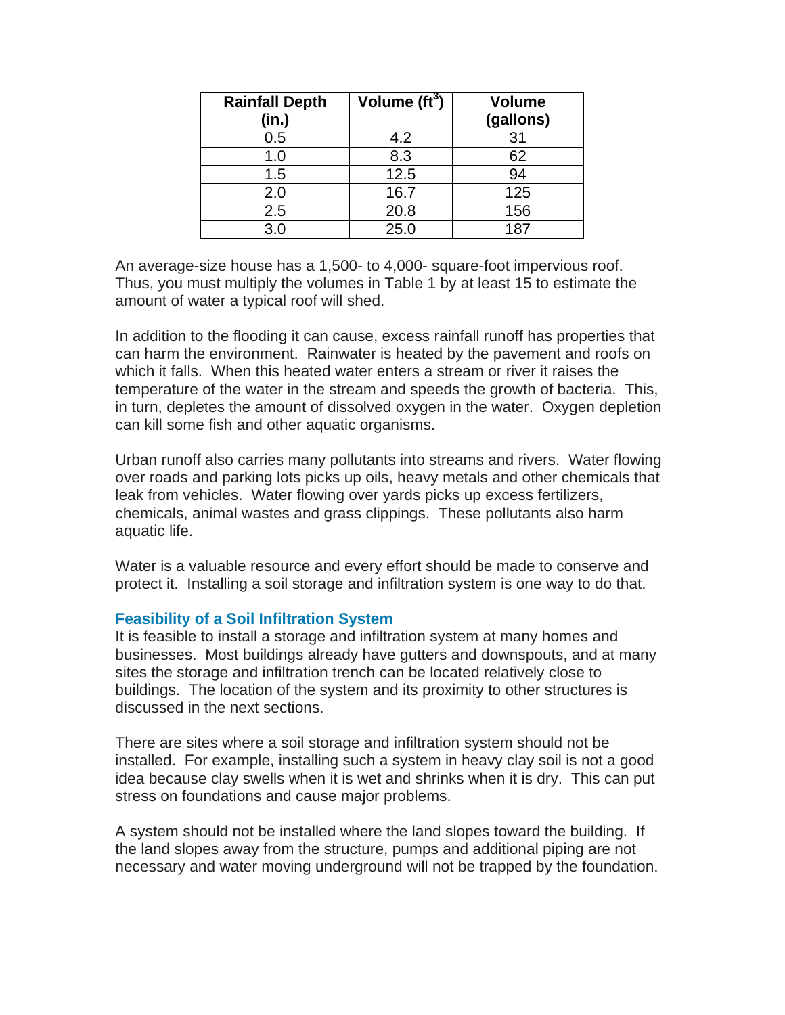| <b>Rainfall Depth</b><br>(in.) | Volume $(ft^3)$ | <b>Volume</b><br>(gallons) |
|--------------------------------|-----------------|----------------------------|
| 0.5                            | 4.2             | 31                         |
| 1.0                            | 8.3             | 62                         |
| 1.5                            | 12.5            | 94                         |
| 2.0                            | 16.7            | 125                        |
| 2.5                            | 20.8            | 156                        |
| 3.0                            | 25.0            | 187                        |

An average-size house has a 1,500- to 4,000- square-foot impervious roof. Thus, you must multiply the volumes in Table 1 by at least 15 to estimate the amount of water a typical roof will shed.

In addition to the flooding it can cause, excess rainfall runoff has properties that can harm the environment. Rainwater is heated by the pavement and roofs on which it falls. When this heated water enters a stream or river it raises the temperature of the water in the stream and speeds the growth of bacteria. This, in turn, depletes the amount of dissolved oxygen in the water. Oxygen depletion can kill some fish and other aquatic organisms.

Urban runoff also carries many pollutants into streams and rivers. Water flowing over roads and parking lots picks up oils, heavy metals and other chemicals that leak from vehicles. Water flowing over yards picks up excess fertilizers, chemicals, animal wastes and grass clippings. These pollutants also harm aquatic life.

Water is a valuable resource and every effort should be made to conserve and protect it. Installing a soil storage and infiltration system is one way to do that.

#### **Feasibility of a Soil Infiltration System**

It is feasible to install a storage and infiltration system at many homes and businesses. Most buildings already have gutters and downspouts, and at many sites the storage and infiltration trench can be located relatively close to buildings. The location of the system and its proximity to other structures is discussed in the next sections.

There are sites where a soil storage and infiltration system should not be installed. For example, installing such a system in heavy clay soil is not a good idea because clay swells when it is wet and shrinks when it is dry. This can put stress on foundations and cause major problems.

A system should not be installed where the land slopes toward the building. If the land slopes away from the structure, pumps and additional piping are not necessary and water moving underground will not be trapped by the foundation.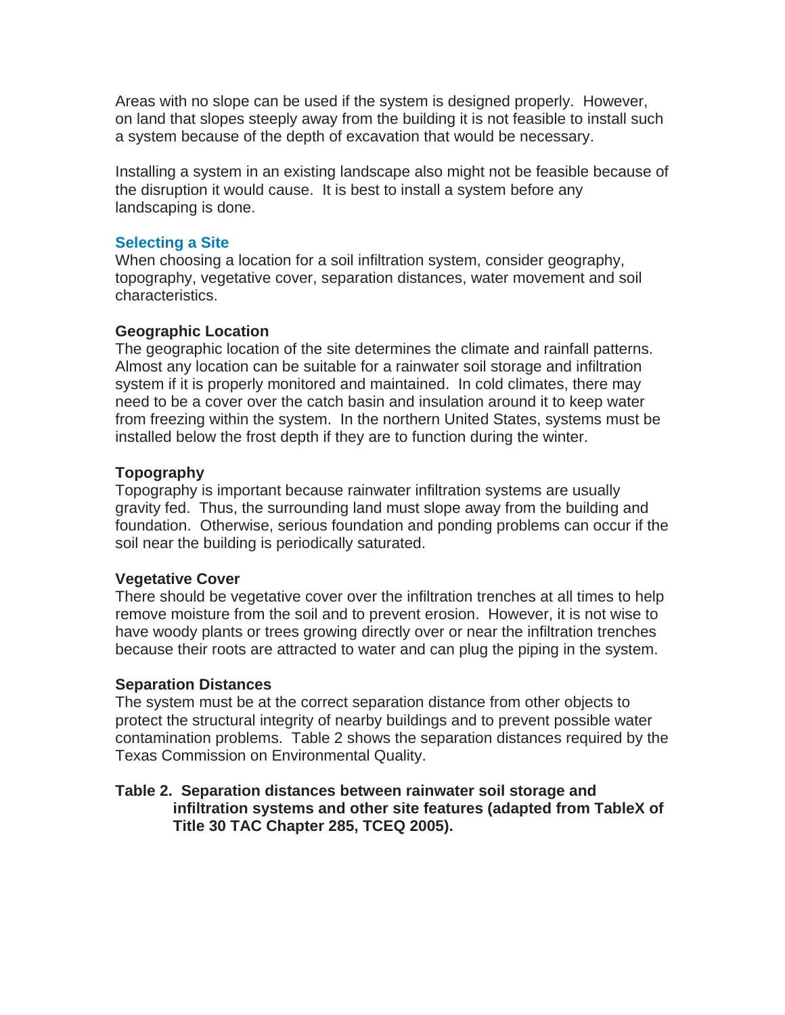Areas with no slope can be used if the system is designed properly. However, on land that slopes steeply away from the building it is not feasible to install such a system because of the depth of excavation that would be necessary.

Installing a system in an existing landscape also might not be feasible because of the disruption it would cause. It is best to install a system before any landscaping is done.

### **Selecting a Site**

When choosing a location for a soil infiltration system, consider geography, topography, vegetative cover, separation distances, water movement and soil characteristics.

### **Geographic Location**

The geographic location of the site determines the climate and rainfall patterns. Almost any location can be suitable for a rainwater soil storage and infiltration system if it is properly monitored and maintained. In cold climates, there may need to be a cover over the catch basin and insulation around it to keep water from freezing within the system. In the northern United States, systems must be installed below the frost depth if they are to function during the winter.

### **Topography**

Topography is important because rainwater infiltration systems are usually gravity fed. Thus, the surrounding land must slope away from the building and foundation. Otherwise, serious foundation and ponding problems can occur if the soil near the building is periodically saturated.

#### **Vegetative Cover**

There should be vegetative cover over the infiltration trenches at all times to help remove moisture from the soil and to prevent erosion. However, it is not wise to have woody plants or trees growing directly over or near the infiltration trenches because their roots are attracted to water and can plug the piping in the system.

#### **Separation Distances**

The system must be at the correct separation distance from other objects to protect the structural integrity of nearby buildings and to prevent possible water contamination problems. Table 2 shows the separation distances required by the Texas Commission on Environmental Quality.

### **Table 2. Separation distances between rainwater soil storage and infiltration systems and other site features (adapted from TableX of Title 30 TAC Chapter 285, TCEQ 2005).**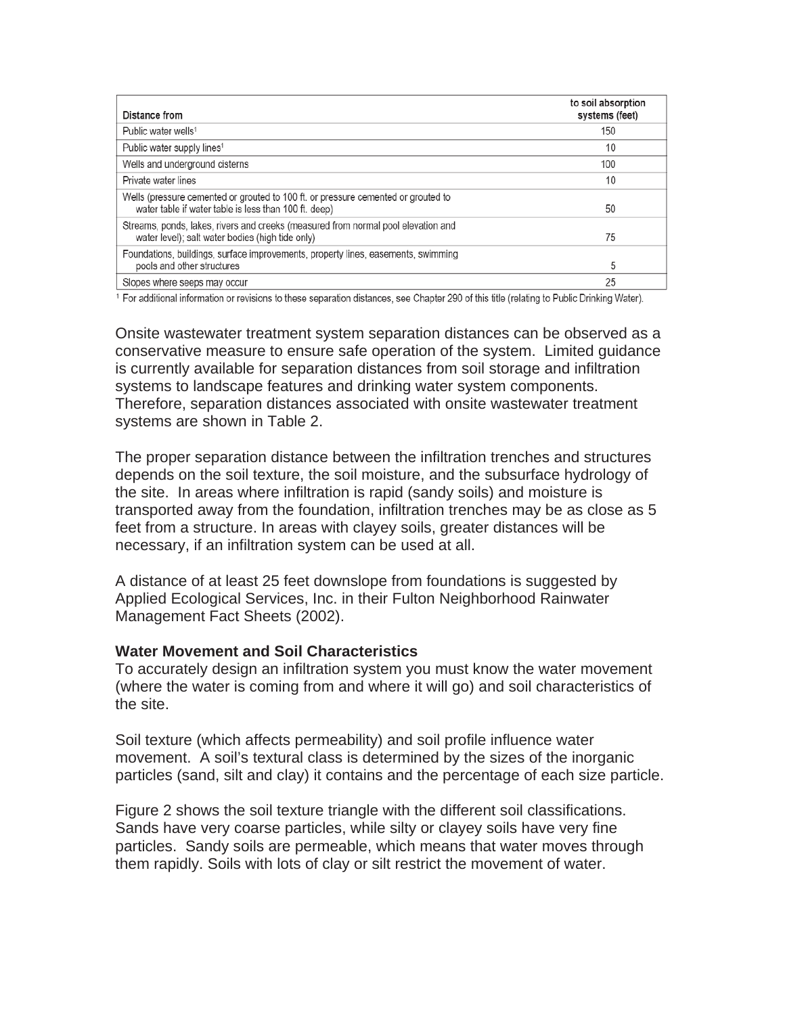| Distance from                                                                                                                              | to soil absorption<br>systems (feet) |
|--------------------------------------------------------------------------------------------------------------------------------------------|--------------------------------------|
| Public water wells <sup>1</sup>                                                                                                            | 150                                  |
| Public water supply lines <sup>1</sup>                                                                                                     | 10                                   |
| Wells and underground cisterns                                                                                                             | 100                                  |
| Private water lines                                                                                                                        | 10                                   |
| Wells (pressure cemented or grouted to 100 ft. or pressure cemented or grouted to<br>water table if water table is less than 100 ft. deep) | 50                                   |
| Streams, ponds, lakes, rivers and creeks (measured from normal pool elevation and<br>water level); salt water bodies (high tide only)      | 75                                   |
| Foundations, buildings, surface improvements, property lines, easements, swimming<br>pools and other structures                            | 5                                    |
| Slopes where seeps may occur                                                                                                               | 25                                   |

<sup>1</sup> For additional information or revisions to these separation distances, see Chapter 290 of this title (relating to Public Drinking Water).

Onsite wastewater treatment system separation distances can be observed as a conservative measure to ensure safe operation of the system. Limited guidance is currently available for separation distances from soil storage and infiltration systems to landscape features and drinking water system components. Therefore, separation distances associated with onsite wastewater treatment systems are shown in Table 2.

The proper separation distance between the infiltration trenches and structures depends on the soil texture, the soil moisture, and the subsurface hydrology of the site. In areas where infiltration is rapid (sandy soils) and moisture is transported away from the foundation, infiltration trenches may be as close as 5 feet from a structure. In areas with clayey soils, greater distances will be necessary, if an infiltration system can be used at all.

A distance of at least 25 feet downslope from foundations is suggested by Applied Ecological Services, Inc. in their Fulton Neighborhood Rainwater Management Fact Sheets (2002).

#### **Water Movement and Soil Characteristics**

To accurately design an infiltration system you must know the water movement (where the water is coming from and where it will go) and soil characteristics of the site.

Soil texture (which affects permeability) and soil profile influence water movement. A soil's textural class is determined by the sizes of the inorganic particles (sand, silt and clay) it contains and the percentage of each size particle.

Figure 2 shows the soil texture triangle with the different soil classifications. Sands have very coarse particles, while silty or clayey soils have very fine particles. Sandy soils are permeable, which means that water moves through them rapidly. Soils with lots of clay or silt restrict the movement of water.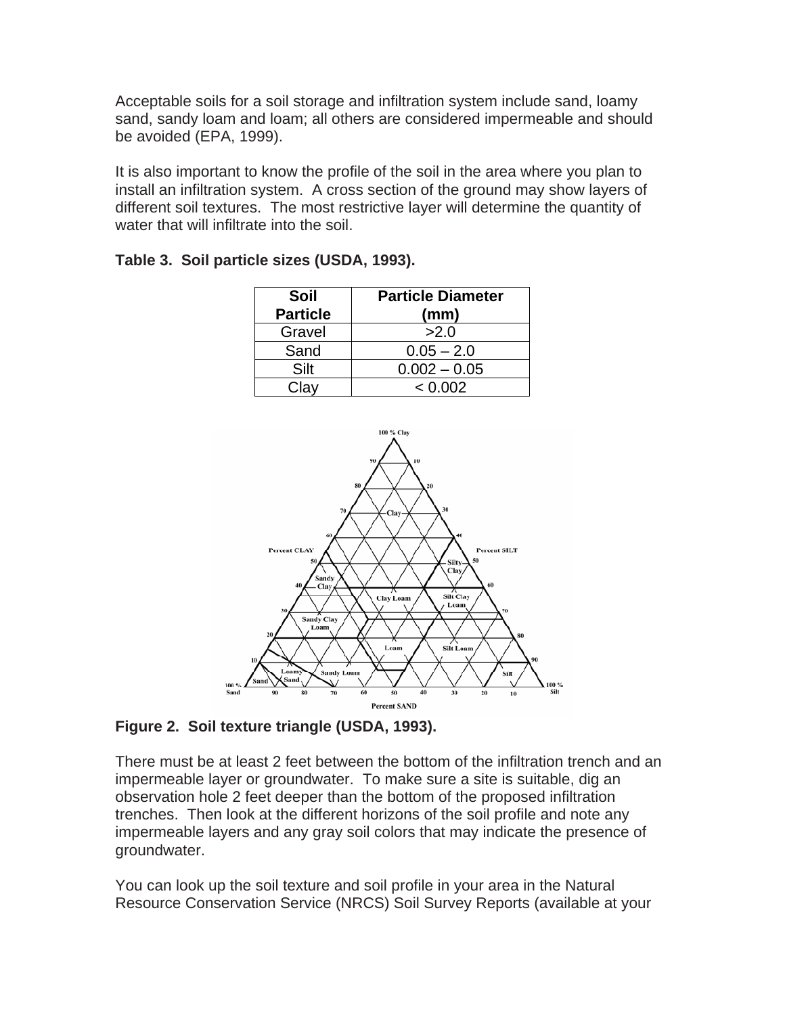Acceptable soils for a soil storage and infiltration system include sand, loamy sand, sandy loam and loam; all others are considered impermeable and should be avoided (EPA, 1999).

It is also important to know the profile of the soil in the area where you plan to install an infiltration system. A cross section of the ground may show layers of different soil textures. The most restrictive layer will determine the quantity of water that will infiltrate into the soil.

| Soil            | <b>Particle Diameter</b> |  |  |  |
|-----------------|--------------------------|--|--|--|
| <b>Particle</b> | (mm)                     |  |  |  |
| Gravel          | >2.0                     |  |  |  |
| Sand            | $0.05 - 2.0$             |  |  |  |
| Silt            | $0.002 - 0.05$           |  |  |  |
| Clay            | < 0.002                  |  |  |  |

|  |  |  | Table 3. Soil particle sizes (USDA, 1993). |
|--|--|--|--------------------------------------------|
|--|--|--|--------------------------------------------|



**Figure 2. Soil texture triangle (USDA, 1993).** 

There must be at least 2 feet between the bottom of the infiltration trench and an impermeable layer or groundwater. To make sure a site is suitable, dig an observation hole 2 feet deeper than the bottom of the proposed infiltration trenches. Then look at the different horizons of the soil profile and note any impermeable layers and any gray soil colors that may indicate the presence of groundwater.

You can look up the soil texture and soil profile in your area in the Natural Resource Conservation Service (NRCS) Soil Survey Reports (available at your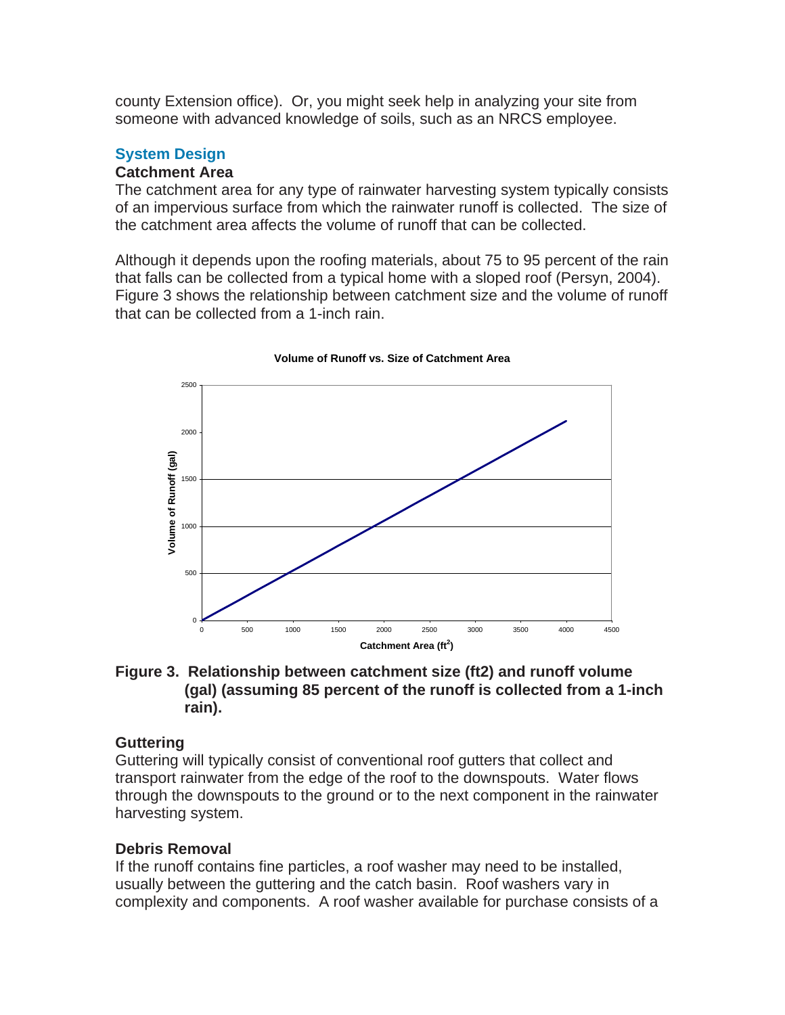county Extension office). Or, you might seek help in analyzing your site from someone with advanced knowledge of soils, such as an NRCS employee.

# **System Design**

### **Catchment Area**

The catchment area for any type of rainwater harvesting system typically consists of an impervious surface from which the rainwater runoff is collected. The size of the catchment area affects the volume of runoff that can be collected.

Although it depends upon the roofing materials, about 75 to 95 percent of the rain that falls can be collected from a typical home with a sloped roof (Persyn, 2004). Figure 3 shows the relationship between catchment size and the volume of runoff that can be collected from a 1-inch rain.



**Volume of Runoff vs. Size of Catchment Area**

### **Figure 3. Relationship between catchment size (ft2) and runoff volume (gal) (assuming 85 percent of the runoff is collected from a 1-inch rain).**

# **Guttering**

Guttering will typically consist of conventional roof gutters that collect and transport rainwater from the edge of the roof to the downspouts. Water flows through the downspouts to the ground or to the next component in the rainwater harvesting system.

# **Debris Removal**

If the runoff contains fine particles, a roof washer may need to be installed, usually between the guttering and the catch basin. Roof washers vary in complexity and components. A roof washer available for purchase consists of a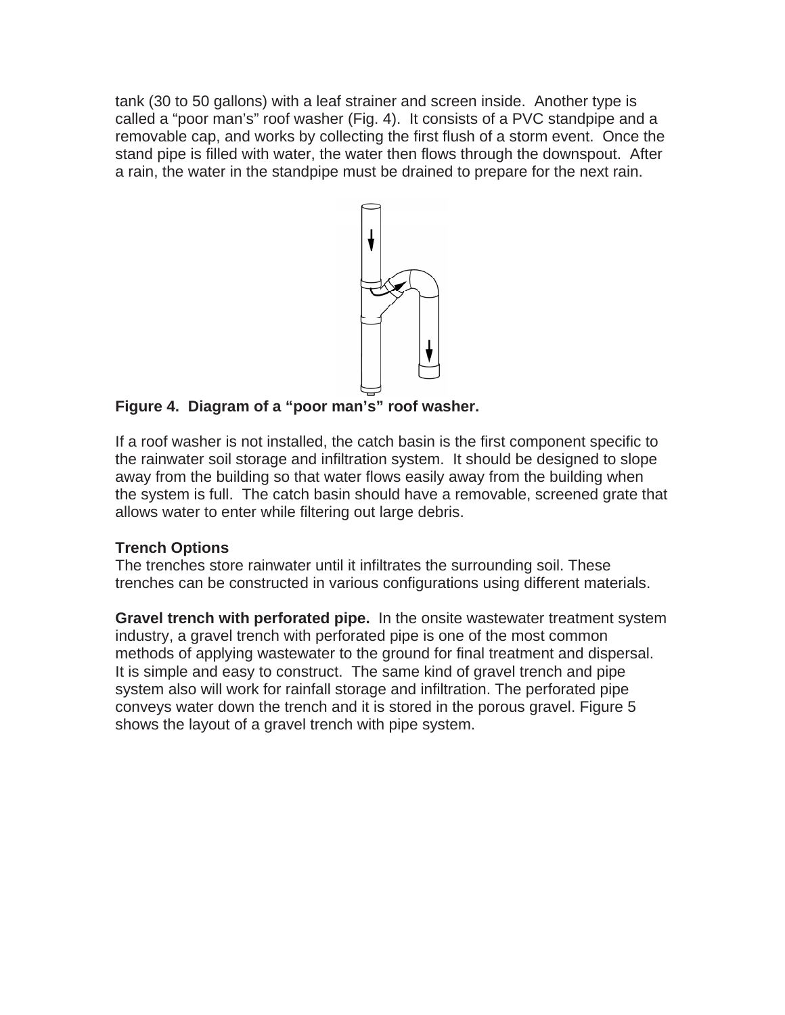tank (30 to 50 gallons) with a leaf strainer and screen inside. Another type is called a "poor man's" roof washer (Fig. 4). It consists of a PVC standpipe and a removable cap, and works by collecting the first flush of a storm event. Once the stand pipe is filled with water, the water then flows through the downspout. After a rain, the water in the standpipe must be drained to prepare for the next rain.



**Figure 4. Diagram of a "poor man's" roof washer.** 

If a roof washer is not installed, the catch basin is the first component specific to the rainwater soil storage and infiltration system. It should be designed to slope away from the building so that water flows easily away from the building when the system is full. The catch basin should have a removable, screened grate that allows water to enter while filtering out large debris.

# **Trench Options**

The trenches store rainwater until it infiltrates the surrounding soil. These trenches can be constructed in various configurations using different materials.

**Gravel trench with perforated pipe.** In the onsite wastewater treatment system industry, a gravel trench with perforated pipe is one of the most common methods of applying wastewater to the ground for final treatment and dispersal. It is simple and easy to construct. The same kind of gravel trench and pipe system also will work for rainfall storage and infiltration. The perforated pipe conveys water down the trench and it is stored in the porous gravel. Figure 5 shows the layout of a gravel trench with pipe system.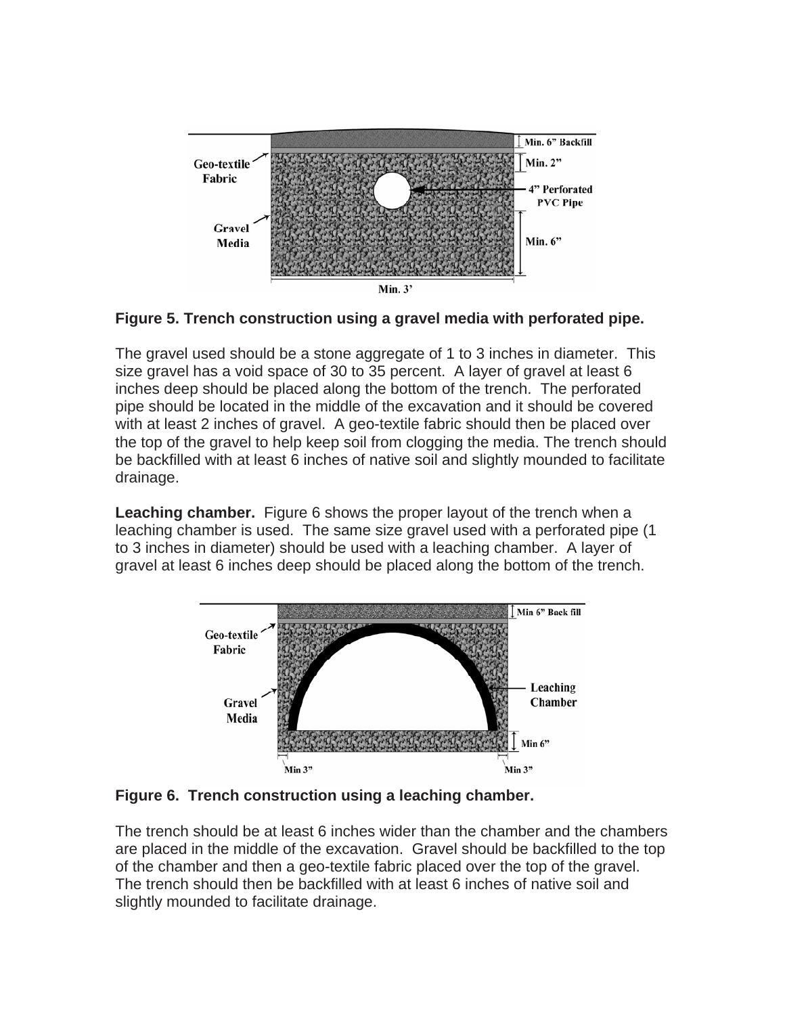



The gravel used should be a stone aggregate of 1 to 3 inches in diameter. This size gravel has a void space of 30 to 35 percent. A layer of gravel at least 6 inches deep should be placed along the bottom of the trench. The perforated pipe should be located in the middle of the excavation and it should be covered with at least 2 inches of gravel. A geo-textile fabric should then be placed over the top of the gravel to help keep soil from clogging the media. The trench should be backfilled with at least 6 inches of native soil and slightly mounded to facilitate drainage.

**Leaching chamber.** Figure 6 shows the proper layout of the trench when a leaching chamber is used. The same size gravel used with a perforated pipe (1 to 3 inches in diameter) should be used with a leaching chamber. A layer of gravel at least 6 inches deep should be placed along the bottom of the trench.



**Figure 6. Trench construction using a leaching chamber.** 

The trench should be at least 6 inches wider than the chamber and the chambers slightly mounded to facilitate drainage. are placed in the middle of the excavation. Gravel should be backfilled to the top of the chamber and then a geo-textile fabric placed over the top of the gravel. The trench should then be backfilled with at least 6 inches of native soil and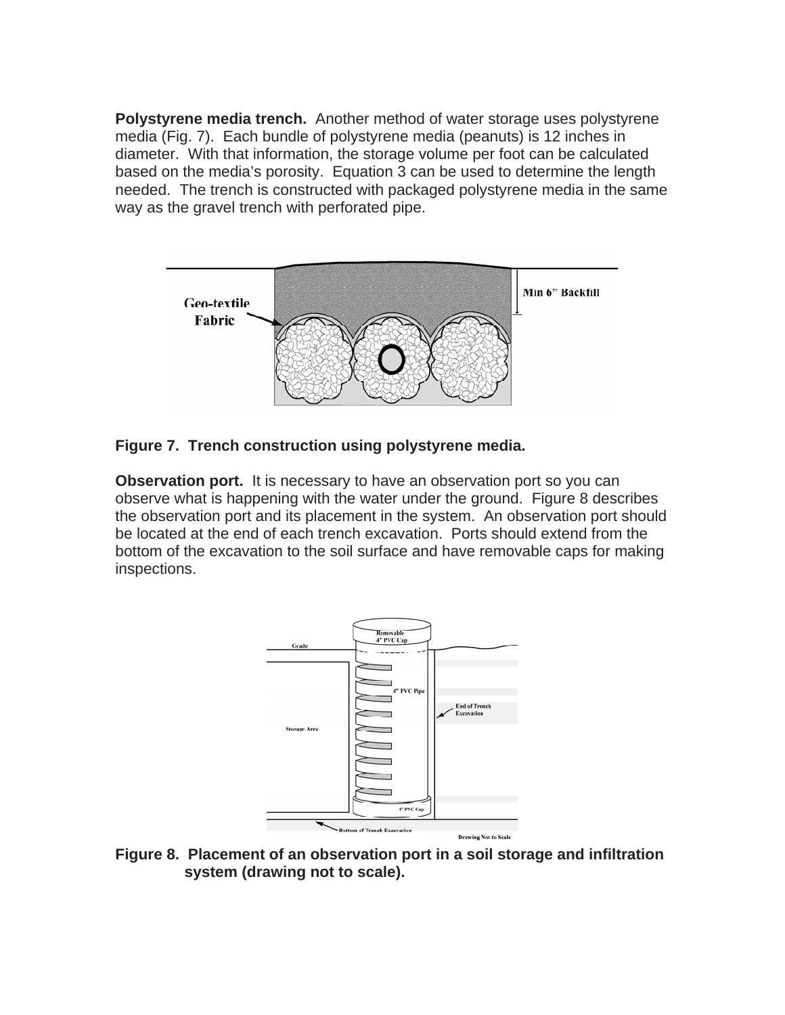**Polystyrene media trench.** Another method of water storage uses polystyrene media (Fig. 7). Each bundle of polystyrene media (peanuts) is 12 inches in based on the media's porosity. Equation 3 can be used to determine the length needed. The trench is constructed with packaged polystyrene media in the same diameter. With that information, the storage volume per foot can be calculated way as the gravel trench with perforated pipe.



### **Figure 7. Trench construction using polystyrene media.**

Observation port. It is necessary to have an observation port so you can bserve what is happening with the water under the ground. Figure 8 describes o the observation port and its placement in the system. An observation port should be located at the end of each trench excavation. Ports should extend from the bottom of the excavation to the soil surface and have removable caps for making inspections.



**Figure 8. Placement of an observation port in a soil storage and infiltration system (drawing not to scale).**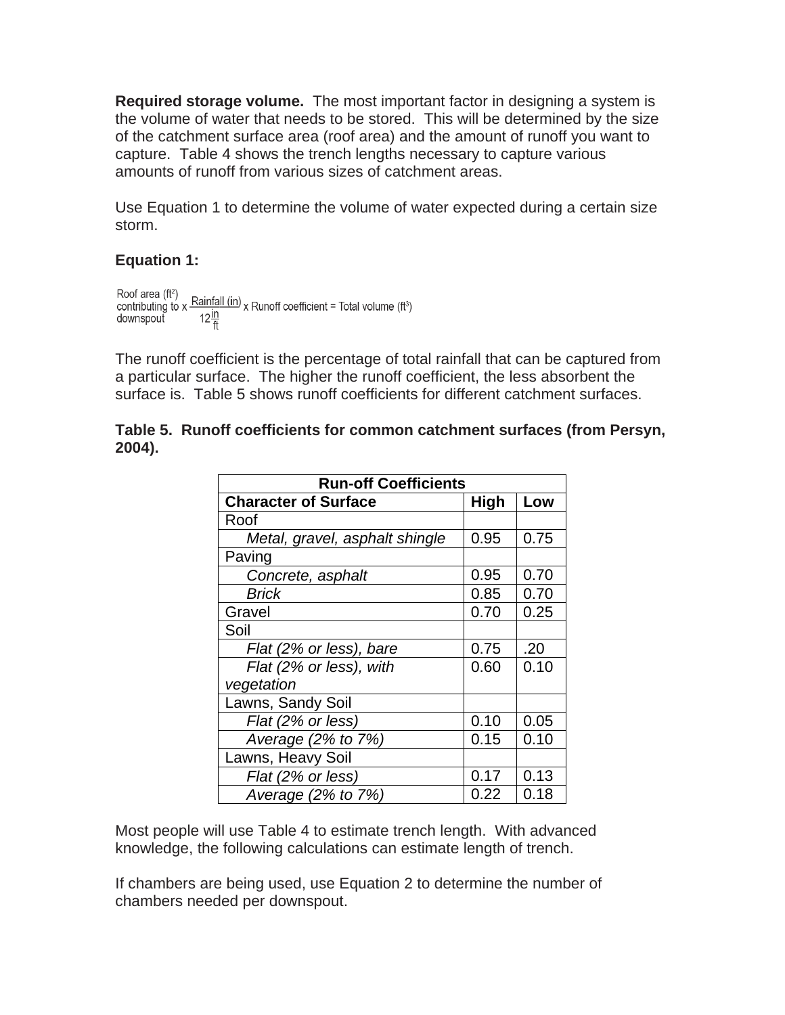**Required storage volume.** The most important factor in designing a system is the volume of water that needs to be stored. This will be determined by the size of the catchment surface area (roof area) and the amount of runoff you want to capture. Table 4 shows the trench lengths necessary to capture various amounts of runoff from various sizes of catchment areas.

Use Equation 1 to determine the volume of water expected during a certain size storm.

### Equation 1:

```
Roof area (ft<sup>2</sup>)<br>contributing to x \frac{\text{Rainfall (in)}}{\text{coin}} x Runoff coefficient = Total volume (ft<sup>3</sup>)
downspout 12\frac{in}{ft}
```
The runoff coefficient is the percentage of total rainfall that can be captured from surface is. Table 5 shows runoff coefficients for different catchment surfaces. a particular surface. The higher the runoff coefficient, the less absorbent the

|        | Table 5. Runoff coefficients for common catchment surfaces (from Persyn, |  |  |  |
|--------|--------------------------------------------------------------------------|--|--|--|
| 2004). |                                                                          |  |  |  |

| <b>Run-off Coefficients</b>    |             |      |  |  |  |  |
|--------------------------------|-------------|------|--|--|--|--|
| <b>Character of Surface</b>    | <b>High</b> | Low  |  |  |  |  |
| Roof                           |             |      |  |  |  |  |
| Metal, gravel, asphalt shingle | 0.95        | 0.75 |  |  |  |  |
| Paving                         |             |      |  |  |  |  |
| Concrete, asphalt              | 0.95        | 0.70 |  |  |  |  |
| Brick                          | 0.85        | 0.70 |  |  |  |  |
| Gravel                         | 0.70        | 0.25 |  |  |  |  |
| Soil                           |             |      |  |  |  |  |
| Flat (2% or less), bare        | 0.75        | .20  |  |  |  |  |
| Flat (2% or less), with        | 0.60        | 0.10 |  |  |  |  |
| vegetation                     |             |      |  |  |  |  |
| Lawns, Sandy Soil              |             |      |  |  |  |  |
| Flat (2% or less)              | 0.10        | 0.05 |  |  |  |  |
| Average (2% to 7%)             | 0.15        | 0.10 |  |  |  |  |
| Lawns, Heavy Soil              |             |      |  |  |  |  |
| Flat (2% or less)              | 0.17        | 0.13 |  |  |  |  |
| Average (2% to 7%)             | 0.22        | 0.18 |  |  |  |  |

Most people will use Table 4 to estimate trench length. With advanced knowledge, the following calculations can estimate length of trench.

If chambers are being used, use Equation 2 to determine the number of chambers needed per downspout.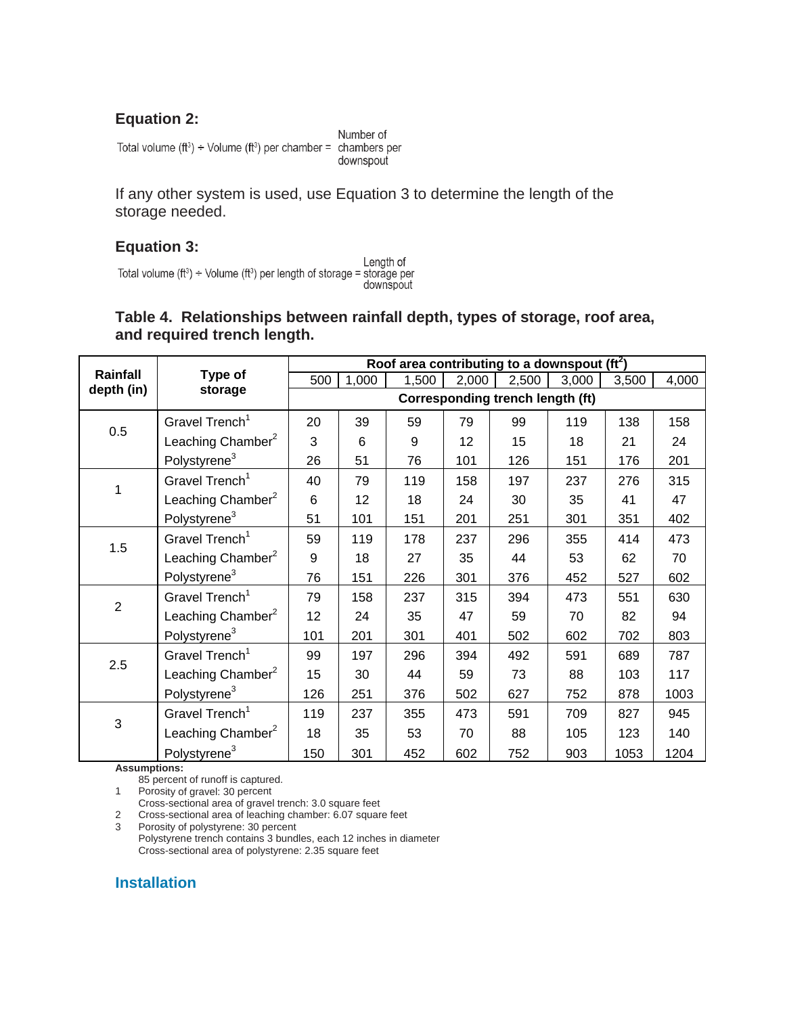# **Equation 2:**

Total volume  $(ft^3) \div$  Volume  $(ft^3)$  per chamber = chambers per

Number of downspout

If any other system is used, use Equation 3 to determine the length of the storage needed.

### **Equation 3:**

Length of Total volume (ft<sup>3</sup>) ÷ Volume (ft<sup>3</sup>) per length of storage = storage per downspout

### **Table 4. Relationships between rainfall depth, types of storage, roof area,**  and required trench length.

|                           |                               | Roof area contributing to a downspout ( $\text{ft}^2$ ) |       |       |       |       |       |       |       |
|---------------------------|-------------------------------|---------------------------------------------------------|-------|-------|-------|-------|-------|-------|-------|
| Rainfall                  | Type of                       | 500                                                     | 1,000 | 1,500 | 2,000 | 2,500 | 3,000 | 3,500 | 4,000 |
| depth (in)                | storage                       | Corresponding trench length (ft)                        |       |       |       |       |       |       |       |
| 0.5                       | Gravel Trench <sup>1</sup>    | 20                                                      | 39    | 59    | 79    | 99    | 119   | 138   | 158   |
|                           | Leaching Chamber <sup>2</sup> | 3                                                       | 6     | 9     | 12    | 15    | 18    | 21    | 24    |
|                           | Polystyrene <sup>3</sup>      | 26                                                      | 51    | 76    | 101   | 126   | 151   | 176   | 201   |
| $\mathbf{1}$              | Gravel Trench <sup>1</sup>    | 40                                                      | 79    | 119   | 158   | 197   | 237   | 276   | 315   |
|                           | Leaching Chamber $^2$         | 6                                                       | 12    | 18    | 24    | 30    | 35    | 41    | 47    |
|                           | Polystyrene <sup>3</sup>      | 51                                                      | 101   | 151   | 201   | 251   | 301   | 351   | 402   |
| 1.5                       | Gravel Trench <sup>1</sup>    | 59                                                      | 119   | 178   | 237   | 296   | 355   | 414   | 473   |
|                           | Leaching Chamber $^2$         | 9                                                       | 18    | 27    | 35    | 44    | 53    | 62    | 70    |
|                           | Polystyrene <sup>3</sup>      | 76                                                      | 151   | 226   | 301   | 376   | 452   | 527   | 602   |
| $\overline{2}$            | Gravel Trench <sup>1</sup>    | 79                                                      | 158   | 237   | 315   | 394   | 473   | 551   | 630   |
|                           | Leaching Chamber $^2$         | 12                                                      | 24    | 35    | 47    | 59    | 70    | 82    | 94    |
|                           | Polystyrene <sup>3</sup>      | 101                                                     | 201   | 301   | 401   | 502   | 602   | 702   | 803   |
|                           | Gravel Trench <sup>1</sup>    | 99                                                      | 197   | 296   | 394   | 492   | 591   | 689   | 787   |
| 2.5                       | Leaching Chamber <sup>2</sup> | 15                                                      | 30    | 44    | 59    | 73    | 88    | 103   | 117   |
|                           | Polystyrene <sup>3</sup>      | 126                                                     | 251   | 376   | 502   | 627   | 752   | 878   | 1003  |
| $\ensuremath{\mathsf{3}}$ | Gravel Trench <sup>1</sup>    | 119                                                     | 237   | 355   | 473   | 591   | 709   | 827   | 945   |
|                           | Leaching Chamber <sup>2</sup> | 18                                                      | 35    | 53    | 70    | 88    | 105   | 123   | 140   |
|                           | Polystyrene <sup>3</sup>      | 150                                                     | 301   | 452   | 602   | 752   | 903   | 1053  | 1204  |

**sumpti As ons:** 

85 percent of runoff is captured.

1 Porosity of gravel: 30 percent

Cross-sectional area of gravel trench: 3.0 square feet

Cross-sectional area of leaching chamber: 6.07 square feet 2 Cross-sectional area of leaching chamber: 6.07 s

t Polystyrene trench contains 3 bundles, each 12 inches in diameter 3 Porosity of polystyrene: 30 percen Cross-sectional area of polystyrene: 2.35 square feet

# **Installation**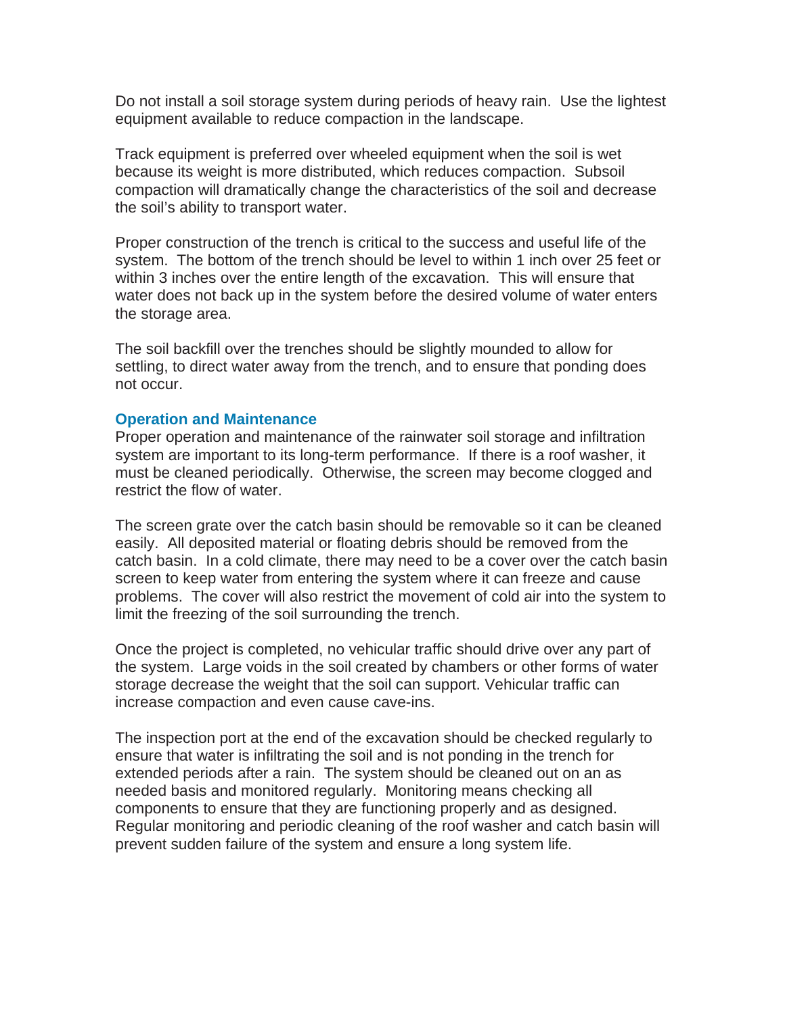Do not install a soil storage system during periods of heavy rain. Use the lightest equipment available to reduce compaction in the landscape.

Track equipment is preferred over wheeled equipment when the soil is wet compaction will dramatically change the characteristics of the soil and decrease because its weight is more distributed, which reduces compaction. Subsoil the soil's ability to transport water.

Proper construction of the trench is critical to the success and useful life of the system. The bottom of the trench should be level to within 1 inch over 25 feet or water does not back up in the system before the desired volume of water enters within 3 inches over the entire length of the excavation. This will ensure that the storage area.

The soil backfill over the trenches should be slightly mounded to allow for settling, to direct water away from the trench, and to ensure that ponding does not occur.

#### **Operation and Maintenance**

Proper operation and maintenance of the rainwater soil storage and infiltration system are important to its long-term performance. If there is a roof washer, it must be cleaned periodically. Otherwise, the screen may become clogged and restrict the flow of water.

The screen grate over the catch basin should be removable so it can be cleaned catch basin. In a cold climate, there may need to be a cover over the catch basin problems. The cover will also restrict the movement of cold air into the system to easily. All deposited material or floating debris should be removed from the screen to keep water from entering the system where it can freeze and cause limit the freezing of the soil surrounding the trench.

Once the project is completed, no vehicular traffic should drive over any part of the system. Large voids in the soil created by chambers or other forms of water storage decrease the weight that the soil can support. Vehicular traffic can increase compaction and even cause cave-ins.

The inspection port at the end of the excavation should be checked regularly to components to ensure that they are functioning properly and as designed. Regular monitoring and periodic cleaning of the roof washer and catch basin will ensure that water is infiltrating the soil and is not ponding in the trench for extended periods after a rain. The system should be cleaned out on an as needed basis and monitored regularly. Monitoring means checking all prevent sudden failure of the system and ensure a long system life.